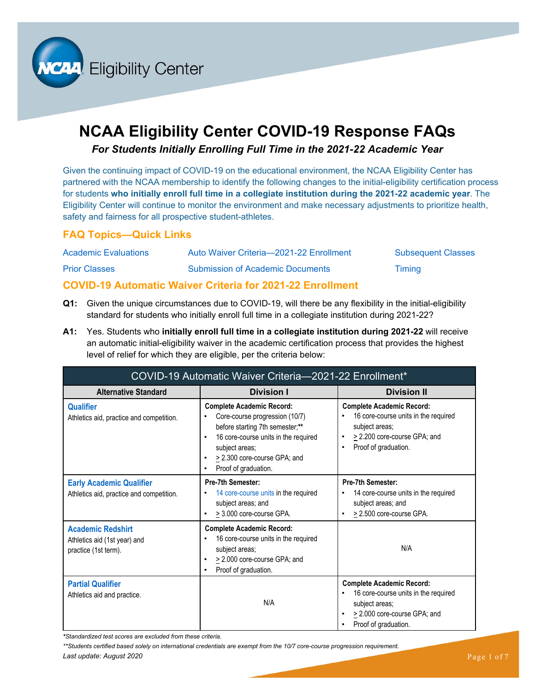**CAA** Eligibility Center

# **NCAA Eligibility Center COVID-19 Response FAQs**

*For Students Initially Enrolling Full Time in the 2021-22 Academic Year*

Given the continuing impact of COVID-19 on the educational environment, the NCAA Eligibility Center has partnered with the NCAA membership to identify the following changes to the initial-eligibility certification process for students **who initially enroll full time in a collegiate institution during the 2021-22 academic year**. The Eligibility Center will continue to monitor the environment and make necessary adjustments to prioritize health, safety and fairness for all prospective student-athletes.

# **FAQ Topics—Quick Links**

| <b>Academic Evaluations</b> | Auto Waiver Criteria-2021-22 Enrollment | <b>Subsequent Classes</b> |
|-----------------------------|-----------------------------------------|---------------------------|
| <b>Prior Classes</b>        | <b>Submission of Academic Documents</b> | <b>Timing</b>             |

# <span id="page-0-0"></span>**COVID-19 Automatic Waiver Criteria for 2021-22 Enrollment**

- **Q1:** Given the unique circumstances due to COVID-19, will there be any flexibility in the initial-eligibility standard for students who initially enroll full time in a collegiate institution during 2021-22?
- **A1:** Yes. Students who **initially enroll full time in a collegiate institution during 2021-22** will receive an automatic initial-eligibility waiver in the academic certification process that provides the highest level of relief for which they are eligible, per the criteria below:

<span id="page-0-1"></span>

| COVID-19 Automatic Waiver Criteria-2021-22 Enrollment*                           |                                                                                                                                                                                                                              |                                                                                                                                                              |  |  |
|----------------------------------------------------------------------------------|------------------------------------------------------------------------------------------------------------------------------------------------------------------------------------------------------------------------------|--------------------------------------------------------------------------------------------------------------------------------------------------------------|--|--|
| <b>Alternative Standard</b>                                                      | <b>Division I</b>                                                                                                                                                                                                            | <b>Division II</b>                                                                                                                                           |  |  |
| <b>Qualifier</b><br>Athletics aid, practice and competition.                     | <b>Complete Academic Record:</b><br>Core-course progression (10/7)<br>before starting 7th semester;**<br>16 core-course units in the required<br>subject areas;<br>$\geq$ 2.300 core-course GPA; and<br>Proof of graduation. | <b>Complete Academic Record:</b><br>16 core-course units in the required<br>subject areas;<br>$\geq$ 2.200 core-course GPA; and<br>Proof of graduation.<br>٠ |  |  |
| <b>Early Academic Qualifier</b><br>Athletics aid, practice and competition.      | <b>Pre-7th Semester:</b><br>14 core-course units in the required<br>subject areas; and<br>$\geq$ 3.000 core-course GPA.                                                                                                      | <b>Pre-7th Semester:</b><br>14 core-course units in the required<br>subject areas; and<br>> 2.500 core-course GPA.                                           |  |  |
| <b>Academic Redshirt</b><br>Athletics aid (1st year) and<br>practice (1st term). | <b>Complete Academic Record:</b><br>16 core-course units in the required<br>$\bullet$<br>subject areas;<br>> 2.000 core-course GPA; and<br>Proof of graduation.                                                              | N/A                                                                                                                                                          |  |  |
| <b>Partial Qualifier</b><br>Athletics aid and practice.                          | N/A                                                                                                                                                                                                                          | <b>Complete Academic Record:</b><br>16 core-course units in the required<br>subject areas;<br>> 2.000 core-course GPA; and<br>Proof of graduation.           |  |  |

<span id="page-0-2"></span>*\*Standardized test scores are excluded from these criteria.*

*Last update: August 2020* Page 1 of 7 *\*\*Students certified based solely on international credentials are exempt from the 10/7 core-course progression requirement.*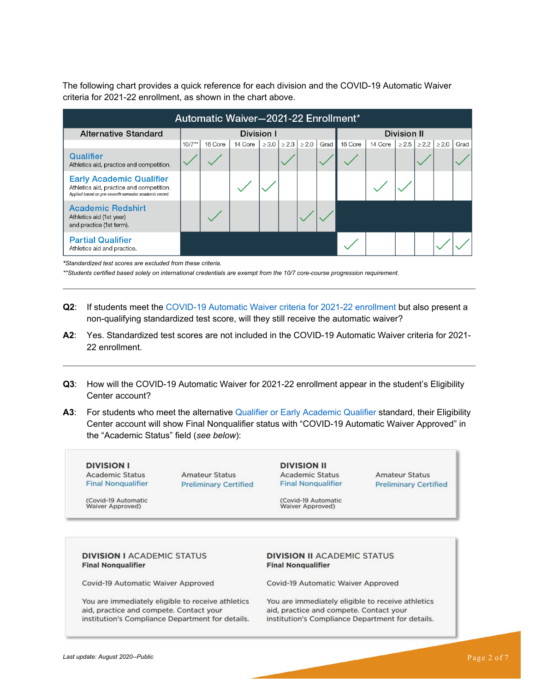The following chart provides a quick reference for each division and the COVID-19 Automatic Waiver criteria for 2021-22 enrollment, as shown in the chart above.



*\*Standardized test scores are excluded from these criteria.*

*\*\*Students certified based solely on international credentials are exempt from the 10/7 core-course progression requirement.*

- **Q2**: If students meet the COVID-19 Automatic Waiver [criteria for 2021-22 enrollment](#page-0-1) but also present a non-qualifying standardized test score, will they still receive the automatic waiver?
- **A2**: Yes. Standardized test scores are not included in the COVID-19 Automatic Waiver criteria for 2021- 22 enrollment.
- **Q3**: How will the COVID-19 Automatic Waiver for 2021-22 enrollment appear in the student's Eligibility Center account?
- **A3**: For students who meet the alternative [Qualifier or Early Academic Qualifier](#page-0-1) standard, their Eligibility Center account will show Final Nonqualifier status with "COVID-19 Automatic Waiver Approved" in the "Academic Status" field (*see below*):

| <b>DIVISION I</b><br>Academic Status    | <b>Amateur Status</b>        | <b>DIVISION II</b><br>Academic Status   | <b>Amateur Status</b>        |
|-----------------------------------------|------------------------------|-----------------------------------------|------------------------------|
| <b>Final Nongualifier</b>               | <b>Preliminary Certified</b> | <b>Final Nongualifier</b>               | <b>Preliminary Certified</b> |
| (Covid-19 Automatic<br>Waiver Approved) |                              | (Covid-19 Automatic<br>Waiver Approved) |                              |

#### **DIVISION I ACADEMIC STATUS Final Nongualifier**

Covid-19 Automatic Waiver Approved

You are immediately eligible to receive athletics aid, practice and compete. Contact your institution's Compliance Department for details.

#### **DIVISION II ACADEMIC STATUS Final Nonqualifier**

Covid-19 Automatic Waiver Approved

You are immediately eligible to receive athletics aid, practice and compete. Contact your institution's Compliance Department for details.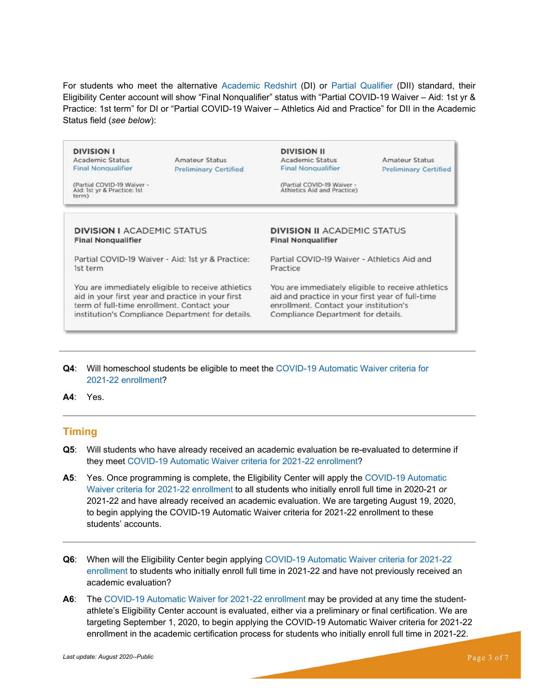For students who meet the alternative [Academic Redshirt](#page-0-2) (DI) or [Partial Qualifier](#page-0-2) (DII) standard, their Eligibility Center account will show "Final Nonqualifier" status with "Partial COVID-19 Waiver – Aid: 1st yr & Practice: 1st term" for DI or "Partial COVID-19 Waiver – Athletics Aid and Practice" for DII in the Academic Status field (*see below*):

| <b>DIVISION I</b><br>Academic Status<br><b>Final Nongualifier</b>                                                                                                                                        | <b>Amateur Status</b><br><b>Preliminary Certified</b> | <b>DIVISION II</b><br><b>Academic Status</b><br><b>Final Nongualifier</b>                                                                                                             | <b>Amateur Status</b><br><b>Preliminary Certified</b> |
|----------------------------------------------------------------------------------------------------------------------------------------------------------------------------------------------------------|-------------------------------------------------------|---------------------------------------------------------------------------------------------------------------------------------------------------------------------------------------|-------------------------------------------------------|
| (Partial COVID-19 Waiver -<br>Aid: 1st yr & Practice: 1st<br>term)                                                                                                                                       |                                                       | (Partial COVID-19 Waiver -<br>Athletics Aid and Practice)                                                                                                                             |                                                       |
| <b>DIVISION I ACADEMIC STATUS</b><br><b>Final Nongualifier</b>                                                                                                                                           |                                                       | <b>DIVISION II ACADEMIC STATUS</b><br><b>Final Nongualifier</b>                                                                                                                       |                                                       |
| Partial COVID-19 Waiver - Aid: 1st yr & Practice:<br>1st term                                                                                                                                            |                                                       | Partial COVID-19 Waiver - Athletics Aid and<br>Practice                                                                                                                               |                                                       |
| You are immediately eligible to receive athletics<br>aid in your first year and practice in your first<br>term of full-time enrollment. Contact your<br>institution's Compliance Department for details. |                                                       | You are immediately eligible to receive athletics<br>aid and practice in your first year of full-time<br>enrollment. Contact your institution's<br>Compliance Department for details. |                                                       |

**Q4**: Will homeschool students be eligible to meet the [COVID-19 Automatic Waiver](#page-0-1) criteria for [2021-22 enrollment?](#page-0-1)

#### <span id="page-2-0"></span>**A4**: Yes.

### **Timing**

- **Q5**: Will students who have already received an academic evaluation be re-evaluated to determine if they meet [COVID-19 Automatic Waiver](#page-0-1) criteria for 2021-22 enrollment?
- **A5**: Yes. Once programming is complete, the Eligibility Center will apply the [COVID-19 Automatic](#page-0-1)  Waiver criteria [for 2021-22 enrollment](#page-0-1) to all students who initially enroll full time in 2020-21 *or* 2021-22 and have already received an academic evaluation. We are targeting August 19, 2020, to begin applying the COVID-19 Automatic Waiver criteria for 2021-22 enrollment to these students' accounts.
- **Q6**: When will the Eligibility Center begin applying [COVID-19 Automatic Waiver](#page-0-1) criteria for 2021-22 [enrollment](#page-0-1) to students who initially enroll full time in 2021-22 and have not previously received an academic evaluation?
- **A6**: The [COVID-19 Automatic Waiver](#page-0-1) for 2021-22 enrollment may be provided at any time the studentathlete's Eligibility Center account is evaluated, either via a preliminary or final certification. We are targeting September 1, 2020, to begin applying the COVID-19 Automatic Waiver criteria for 2021-22 enrollment in the academic certification process for students who initially enroll full time in 2021-22.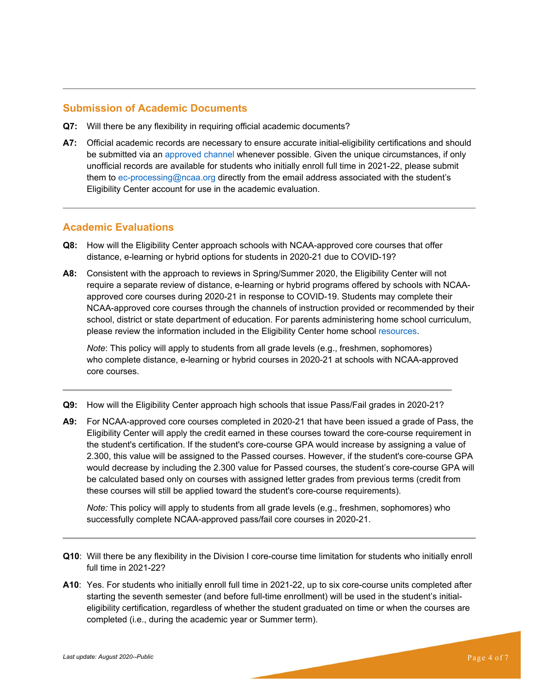## <span id="page-3-1"></span>**Submission of Academic Documents**

- **Q7:** Will there be any flexibility in requiring official academic documents?
- **A7:** Official academic records are necessary to ensure accurate initial-eligibility certifications and should be submitted via an [approved channel](http://www.ncaa.org/student-athletes/future/submitting-international-documents) whenever possible. Given the unique circumstances, if only unofficial records are available for students who initially enroll full time in 2021-22, please submit them to [ec-processing@ncaa.org](mailto:ec-processing@ncaa.org) directly from the email address associated with the student's Eligibility Center account for use in the academic evaluation.

## <span id="page-3-0"></span>**Academic Evaluations**

- **Q8:** How will the Eligibility Center approach schools with NCAA-approved core courses that offer distance, e-learning or hybrid options for students in 2020-21 due to COVID-19?
- **A8:** Consistent with the approach to reviews in Spring/Summer 2020, the Eligibility Center will not require a separate review of distance, e-learning or hybrid programs offered by schools with NCAAapproved core courses during 2020-21 in response to COVID-19. Students may complete their NCAA-approved core courses through the channels of instruction provided or recommended by their school, district or state department of education. For parents administering home school curriculum, please review the information included in the Eligibility Center home school [resources.](http://www.ncaa.org/student-athletes/future/home-school-students)

*Note*: This policy will apply to students from all grade levels (e.g., freshmen, sophomores) who complete distance, e-learning or hybrid courses in 2020-21 at schools with NCAA-approved core courses.

- **Q9:** How will the Eligibility Center approach high schools that issue Pass/Fail grades in 2020-21?
- **A9:** For NCAA-approved core courses completed in 2020-21 that have been issued a grade of Pass, the Eligibility Center will apply the credit earned in these courses toward the core-course requirement in the student's certification. If the student's core-course GPA would increase by assigning a value of 2.300, this value will be assigned to the Passed courses. However, if the student's core-course GPA would decrease by including the 2.300 value for Passed courses, the student's core-course GPA will be calculated based only on courses with assigned letter grades from previous terms (credit from these courses will still be applied toward the student's core-course requirements).

*Note:* This policy will apply to students from all grade levels (e.g., freshmen, sophomores) who successfully complete NCAA-approved pass/fail core courses in 2020-21.

- **Q10**: Will there be any flexibility in the Division I core-course time limitation for students who initially enroll full time in 2021-22?
- **A10**: Yes. For students who initially enroll full time in 2021-22, up to six core-course units completed after starting the seventh semester (and before full-time enrollment) will be used in the student's initialeligibility certification, regardless of whether the student graduated on time or when the courses are completed (i.e., during the academic year or Summer term).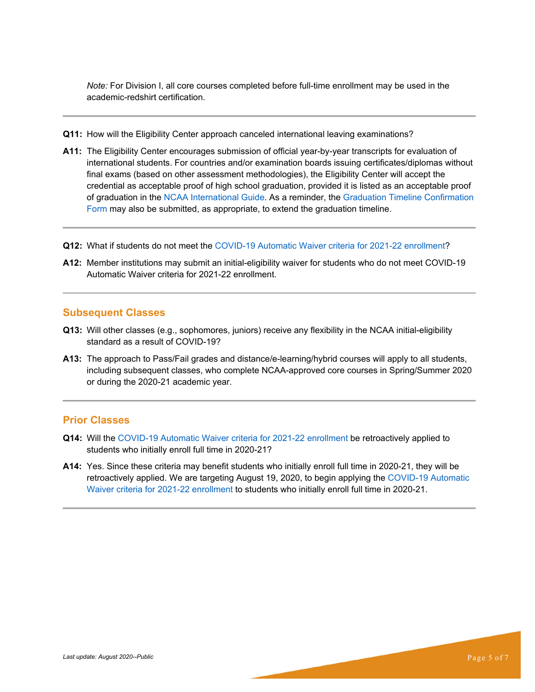*Note:* For Division I, all core courses completed before full-time enrollment may be used in the academic-redshirt certification.

- **Q11:** How will the Eligibility Center approach canceled international leaving examinations?
- **A11:** The Eligibility Center encourages submission of official year-by-year transcripts for evaluation of international students. For countries and/or examination boards issuing certificates/diplomas without final exams (based on other assessment methodologies), the Eligibility Center will accept the credential as acceptable proof of high school graduation, provided it is listed as an acceptable proof of graduation in the [NCAA International Guide.](http://fs.ncaa.org/Docs/eligibility_center/International_Information/International_Guide.pdf) As a reminder, the [Graduation Timeline Confirmation](http://fs.ncaa.org/Docs/eligibility_center/International_Information/Grad_Timeline_Form.pdf)  [Form](http://fs.ncaa.org/Docs/eligibility_center/International_Information/Grad_Timeline_Form.pdf) may also be submitted, as appropriate, to extend the graduation timeline.
- <span id="page-4-1"></span>**Q12:** What if students do not meet the [COVID-19 Automatic Waiver](#page-0-1) criteria for 2021-22 enrollment?
- **A12:** Member institutions may submit an initial-eligibility waiver for students who do not meet COVID-19 Automatic Waiver criteria for 2021-22 enrollment.

#### **Subsequent Classes**

- **Q13:** Will other classes (e.g., sophomores, juniors) receive any flexibility in the NCAA initial-eligibility standard as a result of COVID-19?
- **A13:** The approach to Pass/Fail grades and distance/e-learning/hybrid courses will apply to all students, including subsequent classes, who complete NCAA-approved core courses in Spring/Summer 2020 or during the 2020-21 academic year.

## <span id="page-4-0"></span>**Prior Classes**

- **Q14:** Will the [COVID-19 Automatic Waiver](#page-0-1) criteria for 2021-22 enrollment be retroactively applied to students who initially enroll full time in 2020-21?
- **A14:** Yes. Since these criteria may benefit students who initially enroll full time in 2020-21, they will be retroactively applied. We are targeting August 19, 2020, to begin applying the [COVID-19 Automatic](#page-0-1)  Waiver criteria [for 2021-22 enrollment](#page-0-1) to students who initially enroll full time in 2020-21.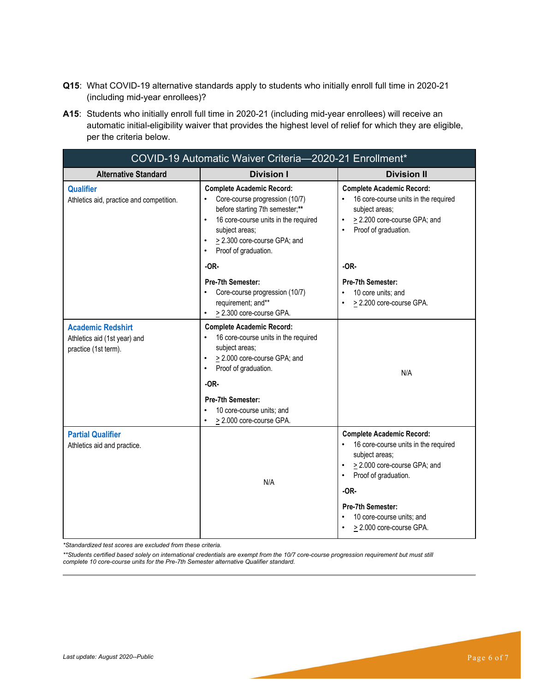- **Q15**: What COVID-19 alternative standards apply to students who initially enroll full time in 2020-21 (including mid-year enrollees)?
- **A15**: Students who initially enroll full time in 2020-21 (including mid-year enrollees) will receive an automatic initial-eligibility waiver that provides the highest level of relief for which they are eligible, per the criteria below.

<span id="page-5-0"></span>

| COVID-19 Automatic Waiver Criteria-2020-21 Enrollment*                           |                                                                                                                                                                                                                                      |                                                                                                                                                                                                                                                              |  |  |
|----------------------------------------------------------------------------------|--------------------------------------------------------------------------------------------------------------------------------------------------------------------------------------------------------------------------------------|--------------------------------------------------------------------------------------------------------------------------------------------------------------------------------------------------------------------------------------------------------------|--|--|
| <b>Alternative Standard</b>                                                      | <b>Division I</b>                                                                                                                                                                                                                    | <b>Division II</b>                                                                                                                                                                                                                                           |  |  |
| <b>Qualifier</b><br>Athletics aid, practice and competition.                     | <b>Complete Academic Record:</b><br>Core-course progression (10/7)<br>before starting 7th semester;**<br>$\bullet$<br>16 core-course units in the required<br>subject areas;<br>> 2.300 core-course GPA; and<br>Proof of graduation. | <b>Complete Academic Record:</b><br>16 core-course units in the required<br>subject areas;<br>> 2.200 core-course GPA; and<br>$\bullet$<br>Proof of graduation.<br>$\bullet$                                                                                 |  |  |
|                                                                                  | $-OR-$                                                                                                                                                                                                                               | $-OR-$                                                                                                                                                                                                                                                       |  |  |
|                                                                                  | <b>Pre-7th Semester:</b><br>Core-course progression (10/7)<br>requirement; and**<br>> 2.300 core-course GPA.<br>$\bullet$                                                                                                            | <b>Pre-7th Semester:</b><br>10 core units; and<br>$\bullet$<br>> 2.200 core-course GPA.                                                                                                                                                                      |  |  |
| <b>Academic Redshirt</b><br>Athletics aid (1st year) and<br>practice (1st term). | <b>Complete Academic Record:</b><br>16 core-course units in the required<br>subject areas;<br>≥ 2.000 core-course GPA; and<br>Proof of graduation.<br>$-OR-$                                                                         | N/A                                                                                                                                                                                                                                                          |  |  |
|                                                                                  | Pre-7th Semester:<br>10 core-course units; and<br>> 2.000 core-course GPA.                                                                                                                                                           |                                                                                                                                                                                                                                                              |  |  |
| <b>Partial Qualifier</b><br>Athletics aid and practice.                          | N/A                                                                                                                                                                                                                                  | <b>Complete Academic Record:</b><br>16 core-course units in the required<br>subject areas;<br>> 2.000 core-course GPA; and<br>Proof of graduation.<br>$\bullet$<br>$-OR-$<br>Pre-7th Semester:<br>10 core-course units; and<br>$\geq$ 2.000 core-course GPA. |  |  |

*\*Standardized test scores are excluded from these criteria.*

*\*\*Students certified based solely on international credentials are exempt from the 10/7 core-course progression requirement but must still complete 10 core-course units for the Pre-7th Semester alternative Qualifier standard.*